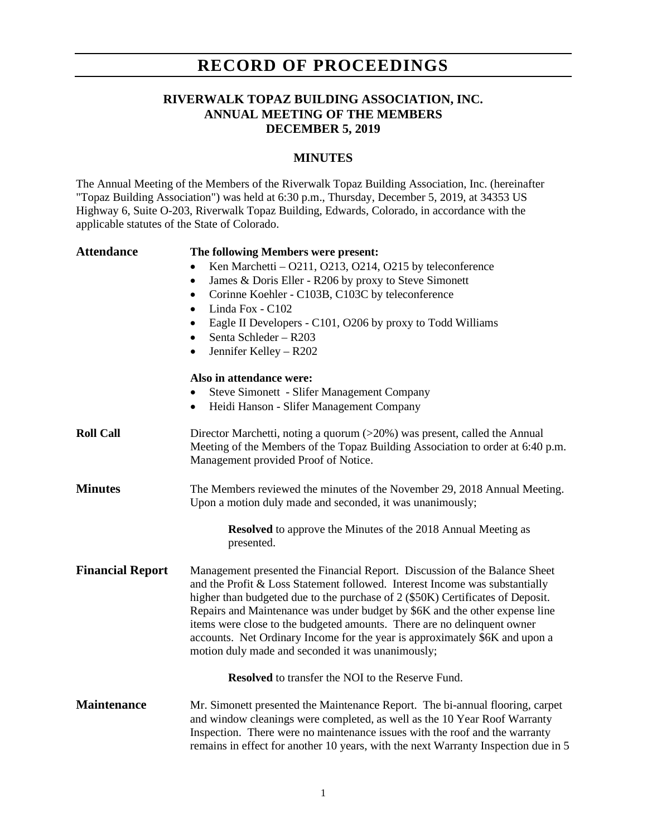## **RECORD OF PROCEEDINGS**

### **RIVERWALK TOPAZ BUILDING ASSOCIATION, INC. ANNUAL MEETING OF THE MEMBERS DECEMBER 5, 2019**

### **MINUTES**

The Annual Meeting of the Members of the Riverwalk Topaz Building Association, Inc. (hereinafter "Topaz Building Association") was held at 6:30 p.m., Thursday, December 5, 2019, at 34353 US Highway 6, Suite O-203, Riverwalk Topaz Building, Edwards, Colorado, in accordance with the applicable statutes of the State of Colorado.

| <b>Attendance</b>       | The following Members were present:                                                                                                                                                                                                                                                                                                                                                                                                                                                                                                       |
|-------------------------|-------------------------------------------------------------------------------------------------------------------------------------------------------------------------------------------------------------------------------------------------------------------------------------------------------------------------------------------------------------------------------------------------------------------------------------------------------------------------------------------------------------------------------------------|
|                         | Ken Marchetti - O211, O213, O214, O215 by teleconference<br>٠                                                                                                                                                                                                                                                                                                                                                                                                                                                                             |
|                         | James & Doris Eller - R206 by proxy to Steve Simonett<br>$\bullet$                                                                                                                                                                                                                                                                                                                                                                                                                                                                        |
|                         | Corinne Koehler - C103B, C103C by teleconference<br>$\bullet$                                                                                                                                                                                                                                                                                                                                                                                                                                                                             |
|                         | Linda Fox - C102<br>$\bullet$                                                                                                                                                                                                                                                                                                                                                                                                                                                                                                             |
|                         | Eagle II Developers - C101, O206 by proxy to Todd Williams<br>$\bullet$                                                                                                                                                                                                                                                                                                                                                                                                                                                                   |
|                         | Senta Schleder - R203<br>$\bullet$                                                                                                                                                                                                                                                                                                                                                                                                                                                                                                        |
|                         | Jennifer Kelley - R202<br>$\bullet$                                                                                                                                                                                                                                                                                                                                                                                                                                                                                                       |
|                         | Also in attendance were:                                                                                                                                                                                                                                                                                                                                                                                                                                                                                                                  |
|                         | <b>Steve Simonett - Slifer Management Company</b>                                                                                                                                                                                                                                                                                                                                                                                                                                                                                         |
|                         | Heidi Hanson - Slifer Management Company<br>$\bullet$                                                                                                                                                                                                                                                                                                                                                                                                                                                                                     |
| <b>Roll Call</b>        | Director Marchetti, noting a quorum (>20%) was present, called the Annual<br>Meeting of the Members of the Topaz Building Association to order at 6:40 p.m.<br>Management provided Proof of Notice.                                                                                                                                                                                                                                                                                                                                       |
| <b>Minutes</b>          | The Members reviewed the minutes of the November 29, 2018 Annual Meeting.<br>Upon a motion duly made and seconded, it was unanimously;                                                                                                                                                                                                                                                                                                                                                                                                    |
|                         | <b>Resolved</b> to approve the Minutes of the 2018 Annual Meeting as<br>presented.                                                                                                                                                                                                                                                                                                                                                                                                                                                        |
| <b>Financial Report</b> | Management presented the Financial Report. Discussion of the Balance Sheet<br>and the Profit & Loss Statement followed. Interest Income was substantially<br>higher than budgeted due to the purchase of 2 (\$50K) Certificates of Deposit.<br>Repairs and Maintenance was under budget by \$6K and the other expense line<br>items were close to the budgeted amounts. There are no delinquent owner<br>accounts. Net Ordinary Income for the year is approximately \$6K and upon a<br>motion duly made and seconded it was unanimously; |
|                         | Resolved to transfer the NOI to the Reserve Fund.                                                                                                                                                                                                                                                                                                                                                                                                                                                                                         |
| <b>Maintenance</b>      | Mr. Simonett presented the Maintenance Report. The bi-annual flooring, carpet<br>and window cleanings were completed, as well as the 10 Year Roof Warranty<br>Inspection. There were no maintenance issues with the roof and the warranty<br>remains in effect for another 10 years, with the next Warranty Inspection due in 5                                                                                                                                                                                                           |